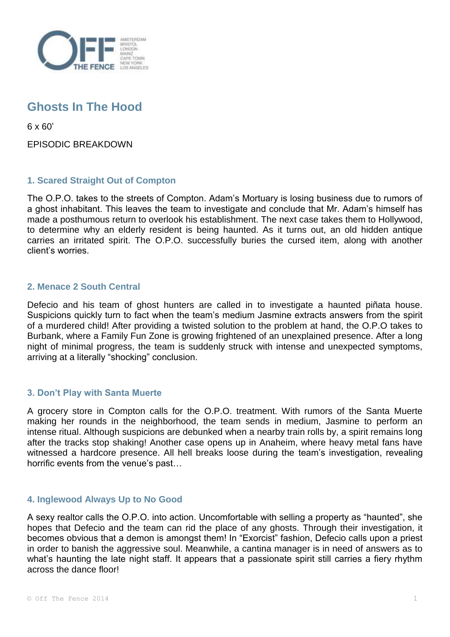

# **Ghosts In The Hood**

6 x 60'

EPISODIC BREAKDOWN

## **1. Scared Straight Out of Compton**

The O.P.O. takes to the streets of Compton. Adam's Mortuary is losing business due to rumors of a ghost inhabitant. This leaves the team to investigate and conclude that Mr. Adam's himself has made a posthumous return to overlook his establishment. The next case takes them to Hollywood, to determine why an elderly resident is being haunted. As it turns out, an old hidden antique carries an irritated spirit. The O.P.O. successfully buries the cursed item, along with another client's worries.

## **2. Menace 2 South Central**

Defecio and his team of ghost hunters are called in to investigate a haunted piñata house. Suspicions quickly turn to fact when the team's medium Jasmine extracts answers from the spirit of a murdered child! After providing a twisted solution to the problem at hand, the O.P.O takes to Burbank, where a Family Fun Zone is growing frightened of an unexplained presence. After a long night of minimal progress, the team is suddenly struck with intense and unexpected symptoms, arriving at a literally "shocking" conclusion.

## **3. Don't Play with Santa Muerte**

A grocery store in Compton calls for the O.P.O. treatment. With rumors of the Santa Muerte making her rounds in the neighborhood, the team sends in medium, Jasmine to perform an intense ritual. Although suspicions are debunked when a nearby train rolls by, a spirit remains long after the tracks stop shaking! Another case opens up in Anaheim, where heavy metal fans have witnessed a hardcore presence. All hell breaks loose during the team's investigation, revealing horrific events from the venue's past…

#### **4. Inglewood Always Up to No Good**

A sexy realtor calls the O.P.O. into action. Uncomfortable with selling a property as "haunted", she hopes that Defecio and the team can rid the place of any ghosts. Through their investigation, it becomes obvious that a demon is amongst them! In "Exorcist" fashion, Defecio calls upon a priest in order to banish the aggressive soul. Meanwhile, a cantina manager is in need of answers as to what's haunting the late night staff. It appears that a passionate spirit still carries a fiery rhythm across the dance floor!